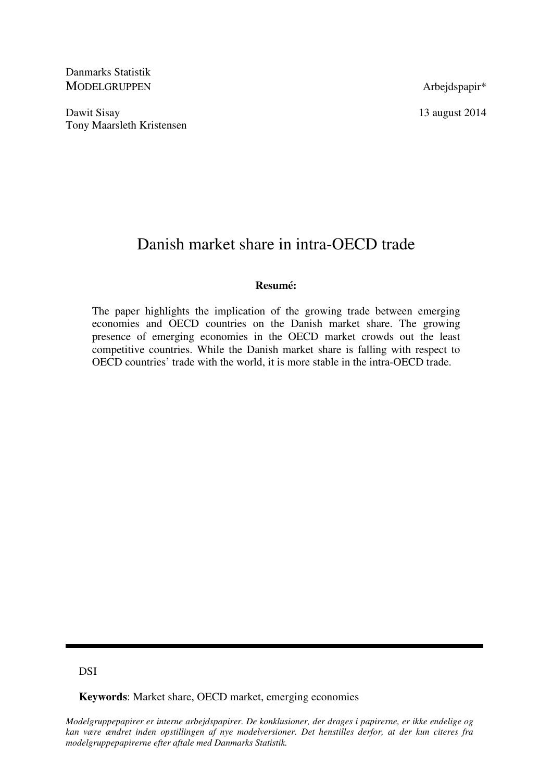Danmarks Statistik MODELGRUPPEN Arbejdspapir\*

Dawit Sisay 13 august 2014 Tony Maarsleth Kristensen

# Danish market share in intra-OECD trade

## **Resumé:**

The paper highlights the implication of the growing trade between emerging economies and OECD countries on the Danish market share. The growing presence of emerging economies in the OECD market crowds out the least competitive countries. While the Danish market share is falling with respect to OECD countries' trade with the world, it is more stable in the intra-OECD trade.

## **DSI**

**Keywords**: Market share, OECD market, emerging economies

*Modelgruppepapirer er interne arbejdspapirer. De konklusioner, der drages i papirerne, er ikke endelige og kan være ændret inden opstillingen af nye modelversioner. Det henstilles derfor, at der kun citeres fra modelgruppepapirerne efter aftale med Danmarks Statistik.*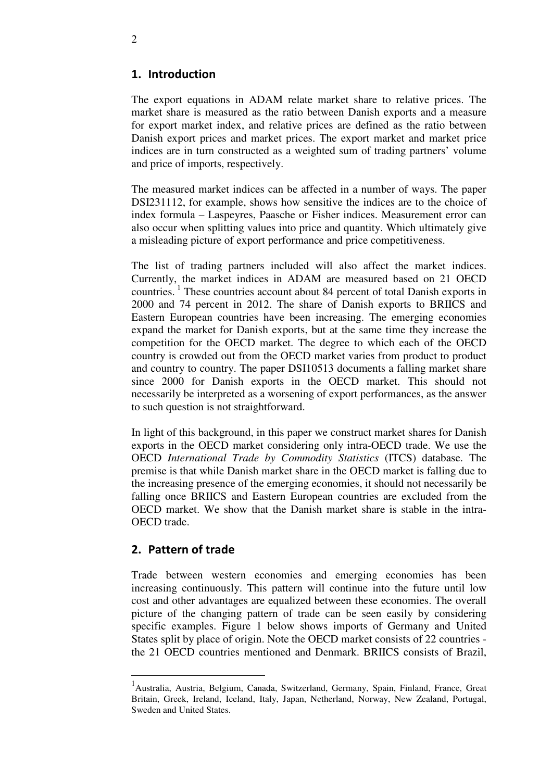## 1. Introduction

The export equations in ADAM relate market share to relative prices. The market share is measured as the ratio between Danish exports and a measure for export market index, and relative prices are defined as the ratio between Danish export prices and market prices. The export market and market price indices are in turn constructed as a weighted sum of trading partners' volume and price of imports, respectively.

The measured market indices can be affected in a number of ways. The paper DSI231112, for example, shows how sensitive the indices are to the choice of index formula – Laspeyres, Paasche or Fisher indices. Measurement error can also occur when splitting values into price and quantity. Which ultimately give a misleading picture of export performance and price competitiveness.

The list of trading partners included will also affect the market indices. Currently, the market indices in ADAM are measured based on 21 OECD countries.<sup>1</sup> These countries account about 84 percent of total Danish exports in 2000 and 74 percent in 2012. The share of Danish exports to BRIICS and Eastern European countries have been increasing. The emerging economies expand the market for Danish exports, but at the same time they increase the competition for the OECD market. The degree to which each of the OECD country is crowded out from the OECD market varies from product to product and country to country. The paper DSI10513 documents a falling market share since 2000 for Danish exports in the OECD market. This should not necessarily be interpreted as a worsening of export performances, as the answer to such question is not straightforward.

In light of this background, in this paper we construct market shares for Danish exports in the OECD market considering only intra-OECD trade. We use the OECD *International Trade by Commodity Statistics* (ITCS) database. The premise is that while Danish market share in the OECD market is falling due to the increasing presence of the emerging economies, it should not necessarily be falling once BRIICS and Eastern European countries are excluded from the OECD market. We show that the Danish market share is stable in the intra-OECD trade.

## 2. Pattern of trade

 $\overline{a}$ 

Trade between western economies and emerging economies has been increasing continuously. This pattern will continue into the future until low cost and other advantages are equalized between these economies. The overall picture of the changing pattern of trade can be seen easily by considering specific examples. Figure 1 below shows imports of Germany and United States split by place of origin. Note the OECD market consists of 22 countries the 21 OECD countries mentioned and Denmark. BRIICS consists of Brazil,

<sup>&</sup>lt;sup>1</sup> Australia, Austria, Belgium, Canada, Switzerland, Germany, Spain, Finland, France, Great Britain, Greek, Ireland, Iceland, Italy, Japan, Netherland, Norway, New Zealand, Portugal, Sweden and United States.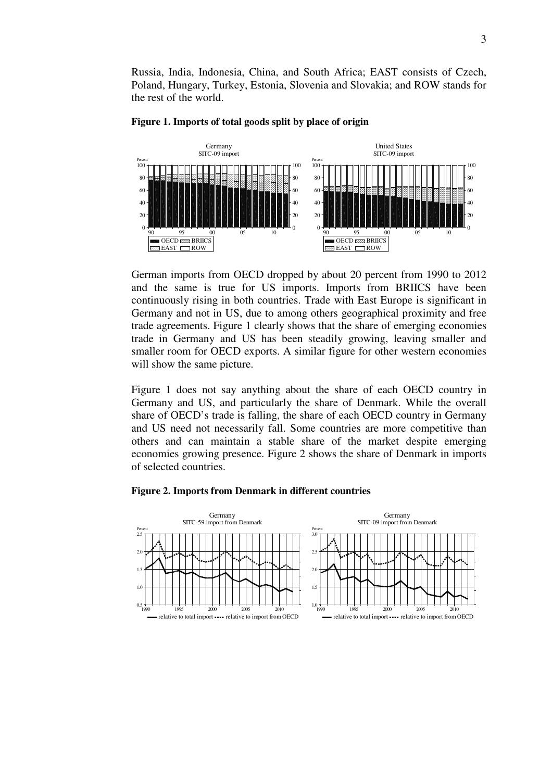Russia, India, Indonesia, China, and South Africa; EAST consists of Czech, Poland, Hungary, Turkey, Estonia, Slovenia and Slovakia; and ROW stands for the rest of the world.



#### **Figure 1. Imports of total goods split by place of origin**

German imports from OECD dropped by about 20 percent from 1990 to 2012 and the same is true for US imports. Imports from BRIICS have been continuously rising in both countries. Trade with East Europe is significant in Germany and not in US, due to among others geographical proximity and free trade agreements. Figure 1 clearly shows that the share of emerging economies trade in Germany and US has been steadily growing, leaving smaller and smaller room for OECD exports. A similar figure for other western economies will show the same picture.

Figure 1 does not say anything about the share of each OECD country in Germany and US, and particularly the share of Denmark. While the overall share of OECD's trade is falling, the share of each OECD country in Germany and US need not necessarily fall. Some countries are more competitive than others and can maintain a stable share of the market despite emerging economies growing presence. Figure 2 shows the share of Denmark in imports of selected countries.

#### **Figure 2. Imports from Denmark in different countries**

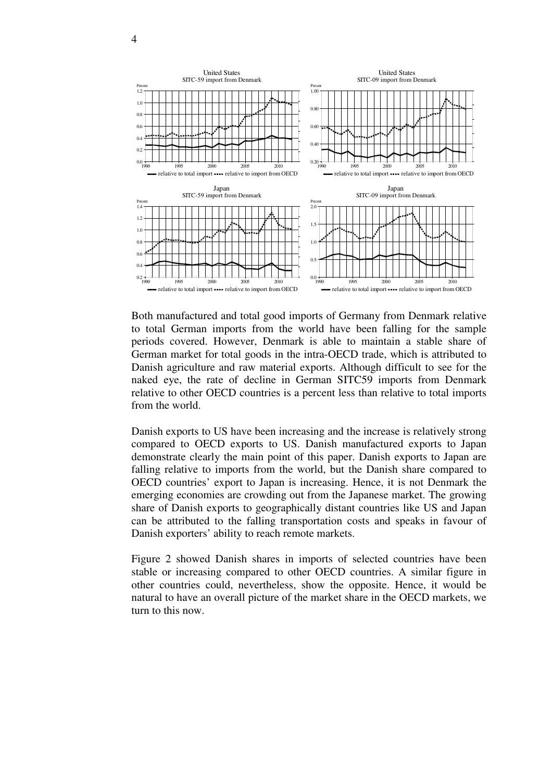

Both manufactured and total good imports of Germany from Denmark relative to total German imports from the world have been falling for the sample periods covered. However, Denmark is able to maintain a stable share of German market for total goods in the intra-OECD trade, which is attributed to Danish agriculture and raw material exports. Although difficult to see for the naked eye, the rate of decline in German SITC59 imports from Denmark relative to other OECD countries is a percent less than relative to total imports from the world.

Danish exports to US have been increasing and the increase is relatively strong compared to OECD exports to US. Danish manufactured exports to Japan demonstrate clearly the main point of this paper. Danish exports to Japan are falling relative to imports from the world, but the Danish share compared to OECD countries' export to Japan is increasing. Hence, it is not Denmark the emerging economies are crowding out from the Japanese market. The growing share of Danish exports to geographically distant countries like US and Japan can be attributed to the falling transportation costs and speaks in favour of Danish exporters' ability to reach remote markets.

Figure 2 showed Danish shares in imports of selected countries have been stable or increasing compared to other OECD countries. A similar figure in other countries could, nevertheless, show the opposite. Hence, it would be natural to have an overall picture of the market share in the OECD markets, we turn to this now.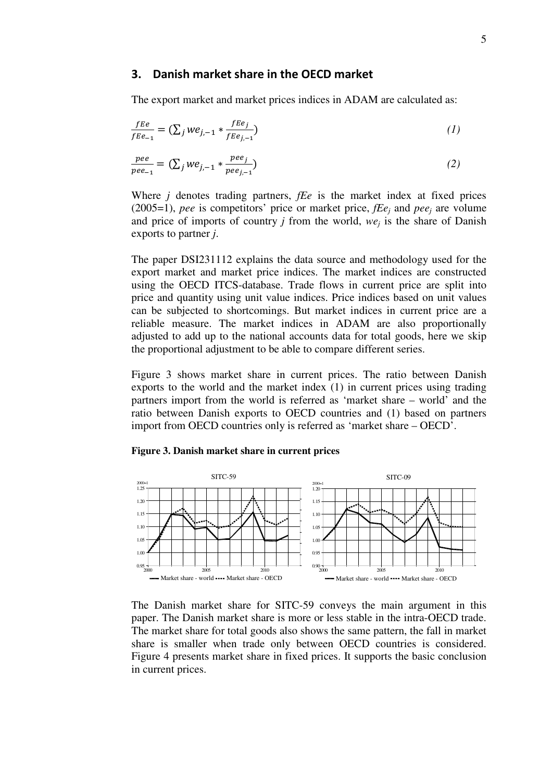### 3. Danish market share in the OECD market

The export market and market prices indices in ADAM are calculated as:

$$
\frac{fEe}{fEe_{-1}} = \left(\sum_{j} we_{j,-1} * \frac{fEe_j}{fEe_{j,-1}}\right) \tag{1}
$$

$$
\frac{pee}{pee_{-1}} = (\sum_{j} we_{j,-1} * \frac{pee_j}{pee_{j,-1}})
$$
 (2)

Where *j* denotes trading partners, *fEe* is the market index at fixed prices (2005=1), *pee* is competitors' price or market price,  $fEe_j$  and  $pee_j$  are volume and price of imports of country *j* from the world, *we<sup>j</sup>* is the share of Danish exports to partner *j*.

The paper DSI231112 explains the data source and methodology used for the export market and market price indices. The market indices are constructed using the OECD ITCS-database. Trade flows in current price are split into price and quantity using unit value indices. Price indices based on unit values can be subjected to shortcomings. But market indices in current price are a reliable measure. The market indices in ADAM are also proportionally adjusted to add up to the national accounts data for total goods, here we skip the proportional adjustment to be able to compare different series.

Figure 3 shows market share in current prices. The ratio between Danish exports to the world and the market index (1) in current prices using trading partners import from the world is referred as 'market share – world' and the ratio between Danish exports to OECD countries and (1) based on partners import from OECD countries only is referred as 'market share – OECD'.

#### **Figure 3. Danish market share in current prices**



The Danish market share for SITC-59 conveys the main argument in this paper. The Danish market share is more or less stable in the intra-OECD trade. The market share for total goods also shows the same pattern, the fall in market share is smaller when trade only between OECD countries is considered. Figure 4 presents market share in fixed prices. It supports the basic conclusion in current prices.